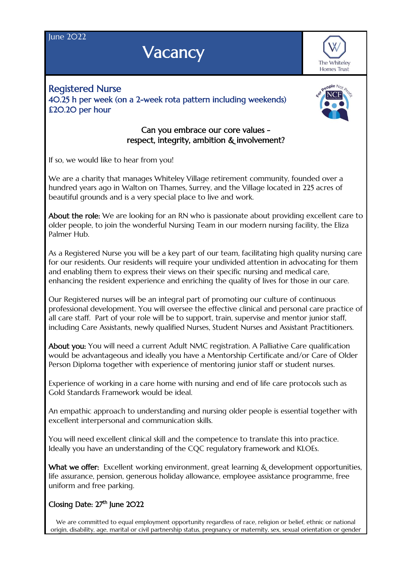**Iune 2022** 

## **Vacancy**



Registered Nurse 40.25 h per week (on a 2-week rota pattern including weekends) £20.20 per hour



## Can you embrace our core values respect, integrity, ambition & involvement?

If so, we would like to hear from you!

We are a charity that manages Whiteley Village retirement community, founded over a hundred years ago in Walton on Thames, Surrey, and the Village located in 225 acres of beautiful grounds and is a very special place to live and work.

About the role: We are looking for an RN who is passionate about providing excellent care to older people, to join the wonderful Nursing Team in our modern nursing facility, the Eliza Palmer Hub.

As a Registered Nurse you will be a key part of our team, facilitating high quality nursing care for our residents. Our residents will require your undivided attention in advocating for them and enabling them to express their views on their specific nursing and medical care, enhancing the resident experience and enriching the quality of lives for those in our care.

Our Registered nurses will be an integral part of promoting our culture of continuous professional development. You will oversee the effective clinical and personal care practice of all care staff. Part of your role will be to support, train, supervise and mentor junior staff, including Care Assistants, newly qualified Nurses, Student Nurses and Assistant Practitioners.

About you: You will need a current Adult NMC registration. A Palliative Care qualification would be advantageous and ideally you have a Mentorship Certificate and/or Care of Older Person Diploma together with experience of mentoring junior staff or student nurses.

Experience of working in a care home with nursing and end of life care protocols such as Gold Standards Framework would be ideal.

An empathic approach to understanding and nursing older people is essential together with excellent interpersonal and communication skills.

You will need excellent clinical skill and the competence to translate this into practice. Ideally you have an understanding of the CQC regulatory framework and KLOEs.

What we offer: Excellent working environment, great learning & development opportunities, life assurance, pension, generous holiday allowance, employee assistance programme, free uniform and free parking.

## Closing Date:  $27<sup>th</sup>$  June  $2O22$

We are committed to equal employment opportunity regardless of race, religion or belief, ethnic or national origin, disability, age, marital or civil partnership status, pregnancy or maternity, sex, sexual orientation or gender